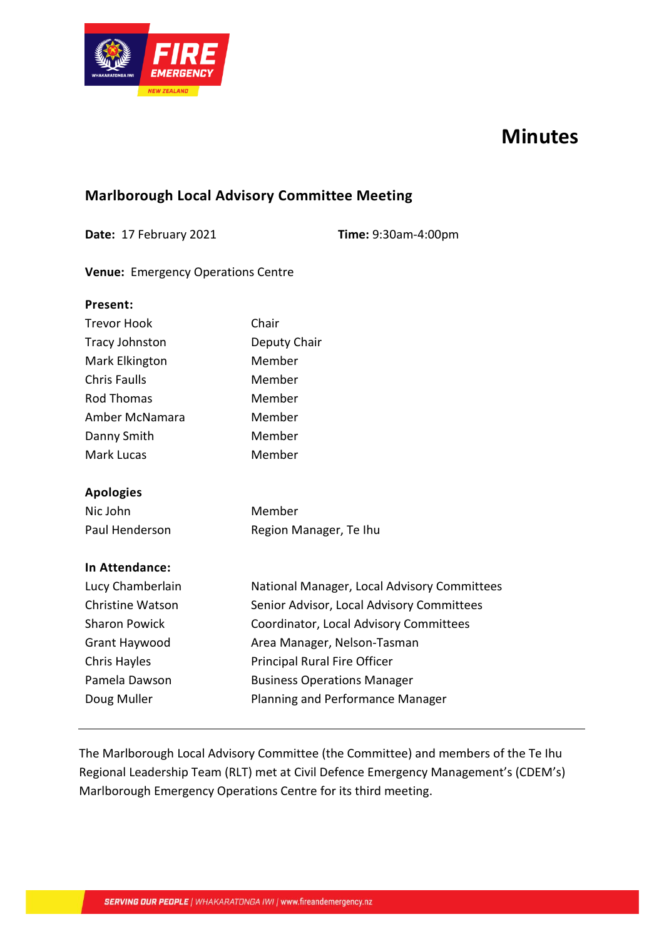

# **Minutes**

# **Marlborough Local Advisory Committee Meeting**

**Date:** 17 February 2021 **Time:** 9:30am-4:00pm

### **Venue:** Emergency Operations Centre

| Present:                |                                             |  |  |  |
|-------------------------|---------------------------------------------|--|--|--|
| <b>Trevor Hook</b>      | Chair                                       |  |  |  |
| <b>Tracy Johnston</b>   | Deputy Chair                                |  |  |  |
| Mark Elkington          | Member                                      |  |  |  |
| <b>Chris Faulls</b>     | Member                                      |  |  |  |
| <b>Rod Thomas</b>       | Member                                      |  |  |  |
| Amber McNamara          | Member                                      |  |  |  |
| Danny Smith             | Member                                      |  |  |  |
| Mark Lucas              | Member                                      |  |  |  |
| <b>Apologies</b>        |                                             |  |  |  |
| Nic John                | Member                                      |  |  |  |
| Paul Henderson          | Region Manager, Te Ihu                      |  |  |  |
| <b>In Attendance:</b>   |                                             |  |  |  |
| Lucy Chamberlain        | National Manager, Local Advisory Committees |  |  |  |
| <b>Christine Watson</b> | Senior Advisor, Local Advisory Committees   |  |  |  |
| <b>Sharon Powick</b>    | Coordinator, Local Advisory Committees      |  |  |  |
| Grant Haywood           | Area Manager, Nelson-Tasman                 |  |  |  |
| Chris Hayles            | Principal Rural Fire Officer                |  |  |  |
| Pamela Dawson           | <b>Business Operations Manager</b>          |  |  |  |
| Doug Muller             | <b>Planning and Performance Manager</b>     |  |  |  |
|                         |                                             |  |  |  |

The Marlborough Local Advisory Committee (the Committee) and members of the Te Ihu Regional Leadership Team (RLT) met at Civil Defence Emergency Management's (CDEM's) Marlborough Emergency Operations Centre for its third meeting.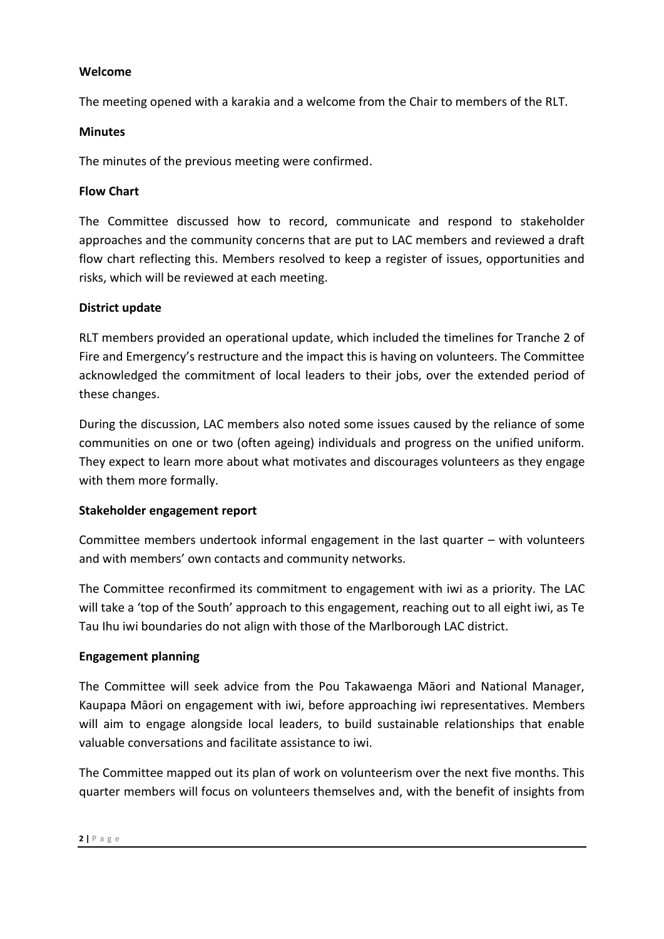#### **Welcome**

The meeting opened with a karakia and a welcome from the Chair to members of the RLT.

#### **Minutes**

The minutes of the previous meeting were confirmed.

#### **Flow Chart**

The Committee discussed how to record, communicate and respond to stakeholder approaches and the community concerns that are put to LAC members and reviewed a draft flow chart reflecting this. Members resolved to keep a register of issues, opportunities and risks, which will be reviewed at each meeting.

#### **District update**

RLT members provided an operational update, which included the timelines for Tranche 2 of Fire and Emergency's restructure and the impact this is having on volunteers. The Committee acknowledged the commitment of local leaders to their jobs, over the extended period of these changes.

During the discussion, LAC members also noted some issues caused by the reliance of some communities on one or two (often ageing) individuals and progress on the unified uniform. They expect to learn more about what motivates and discourages volunteers as they engage with them more formally.

#### **Stakeholder engagement report**

Committee members undertook informal engagement in the last quarter – with volunteers and with members' own contacts and community networks.

The Committee reconfirmed its commitment to engagement with iwi as a priority. The LAC will take a 'top of the South' approach to this engagement, reaching out to all eight iwi, as Te Tau Ihu iwi boundaries do not align with those of the Marlborough LAC district.

#### **Engagement planning**

The Committee will seek advice from the Pou Takawaenga Māori and National Manager, Kaupapa Māori on engagement with iwi, before approaching iwi representatives. Members will aim to engage alongside local leaders, to build sustainable relationships that enable valuable conversations and facilitate assistance to iwi.

The Committee mapped out its plan of work on volunteerism over the next five months. This quarter members will focus on volunteers themselves and, with the benefit of insights from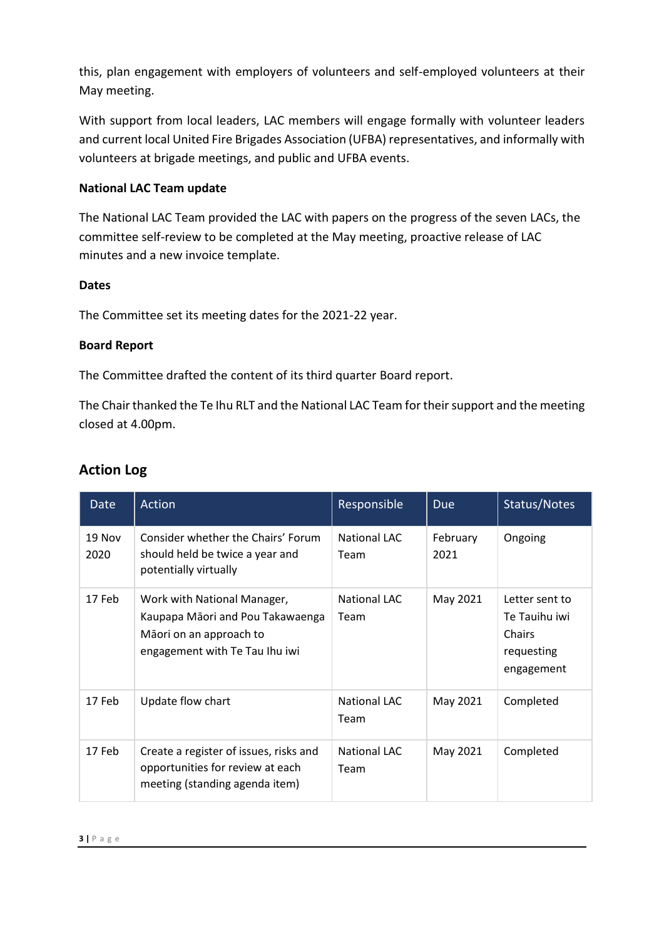this, plan engagement with employers of volunteers and self-employed volunteers at their May meeting.

With support from local leaders, LAC members will engage formally with volunteer leaders and current local United Fire Brigades Association (UFBA) representatives, and informally with volunteers at brigade meetings, and public and UFBA events.

## **National LAC Team update**

The National LAC Team provided the LAC with papers on the progress of the seven LACs, the committee self-review to be completed at the May meeting, proactive release of LAC minutes and a new invoice template.

#### **Dates**

The Committee set its meeting dates for the 2021-22 year.

## **Board Report**

The Committee drafted the content of its third quarter Board report.

The Chair thanked the Te Ihu RLT and the National LAC Team for their support and the meeting closed at 4.00pm.

| Date           | Action                                                                                                                       | Responsible                 | <b>Due</b>       | Status/Notes                                                          |
|----------------|------------------------------------------------------------------------------------------------------------------------------|-----------------------------|------------------|-----------------------------------------------------------------------|
| 19 Nov<br>2020 | Consider whether the Chairs' Forum<br>should held be twice a year and<br>potentially virtually                               | <b>National LAC</b><br>Team | February<br>2021 | Ongoing                                                               |
| 17 Feb         | Work with National Manager,<br>Kaupapa Māori and Pou Takawaenga<br>Māori on an approach to<br>engagement with Te Tau Ihu iwi | <b>National LAC</b><br>Team | May 2021         | Letter sent to<br>Te Tauihu iwi<br>Chairs<br>requesting<br>engagement |
| 17 Feb         | Update flow chart                                                                                                            | <b>National LAC</b><br>Team | May 2021         | Completed                                                             |
| 17 Feb         | Create a register of issues, risks and<br>opportunities for review at each<br>meeting (standing agenda item)                 | <b>National LAC</b><br>Team | May 2021         | Completed                                                             |

# **Action Log**